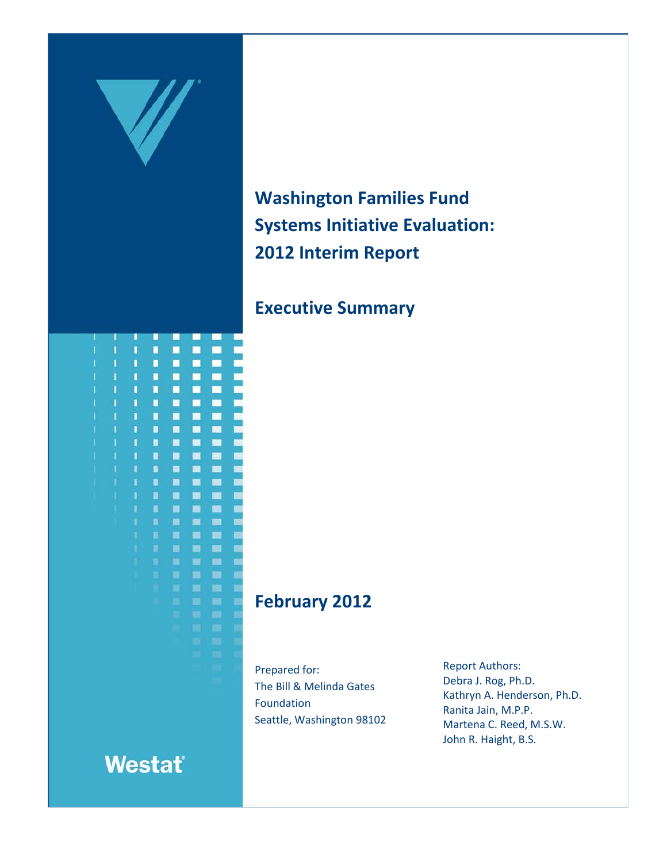

**Westat** 

# **Washington Families Fund Systems Initiative Evaluation: 2012 Interim Report**

## **Executive Summary**

## **February 2012**

Prepared for: The Bill & Melinda Gates Foundation Seattle, Washington 98102 Report Authors: Debra J. Rog, Ph.D. Kathryn A. Henderson, Ph.D. Ranita Jain, M.P.P. Martena C. Reed, M.S.W. John R. Haight, B.S.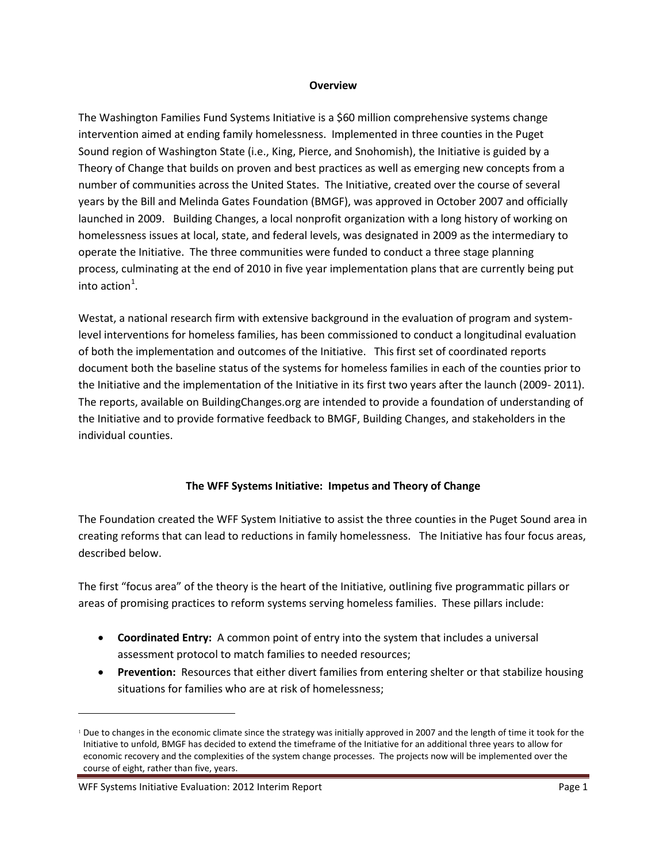#### **Overview**

The Washington Families Fund Systems Initiative is a \$60 million comprehensive systems change intervention aimed at ending family homelessness. Implemented in three counties in the Puget Sound region of Washington State (i.e., King, Pierce, and Snohomish), the Initiative is guided by a Theory of Change that builds on proven and best practices as well as emerging new concepts from a number of communities across the United States. The Initiative, created over the course of several years by the Bill and Melinda Gates Foundation (BMGF), was approved in October 2007 and officially launched in 2009. Building Changes, a local nonprofit organization with a long history of working on homelessness issues at local, state, and federal levels, was designated in 2009 as the intermediary to operate the Initiative. The three communities were funded to conduct a three stage planning process, culminating at the end of 2010 in five year implementation plans that are currently being put into action $^1$  $^1$ .

Westat, a national research firm with extensive background in the evaluation of program and systemlevel interventions for homeless families, has been commissioned to conduct a longitudinal evaluation of both the implementation and outcomes of the Initiative. This first set of coordinated reports document both the baseline status of the systems for homeless families in each of the counties prior to the Initiative and the implementation of the Initiative in its first two years after the launch (2009- 2011). The reports, available on BuildingChanges.org are intended to provide a foundation of understanding of the Initiative and to provide formative feedback to BMGF, Building Changes, and stakeholders in the individual counties.

### **The WFF Systems Initiative: Impetus and Theory of Change**

The Foundation created the WFF System Initiative to assist the three counties in the Puget Sound area in creating reforms that can lead to reductions in family homelessness. The Initiative has four focus areas, described below.

The first "focus area" of the theory is the heart of the Initiative, outlining five programmatic pillars or areas of promising practices to reform systems serving homeless families. These pillars include:

- **Coordinated Entry:** A common point of entry into the system that includes a universal assessment protocol to match families to needed resources;
- **Prevention:** Resources that either divert families from entering shelter or that stabilize housing situations for families who are at risk of homelessness;

 $\overline{a}$ 

<span id="page-1-0"></span><sup>1</sup> Due to changes in the economic climate since the strategy was initially approved in 2007 and the length of time it took for the Initiative to unfold, BMGF has decided to extend the timeframe of the Initiative for an additional three years to allow for economic recovery and the complexities of the system change processes. The projects now will be implemented over the course of eight, rather than five, years.

WFF Systems Initiative Evaluation: 2012 Interim Report New York Page 1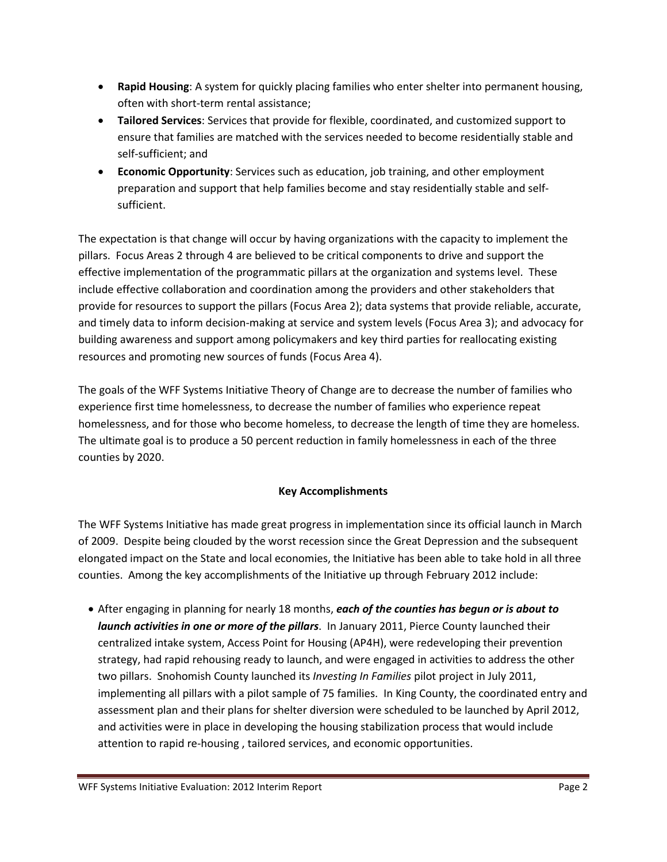- **Rapid Housing**: A system for quickly placing families who enter shelter into permanent housing, often with short-term rental assistance;
- **Tailored Services**: Services that provide for flexible, coordinated, and customized support to ensure that families are matched with the services needed to become residentially stable and self-sufficient; and
- **Economic Opportunity**: Services such as education, job training, and other employment preparation and support that help families become and stay residentially stable and selfsufficient.

The expectation is that change will occur by having organizations with the capacity to implement the pillars. Focus Areas 2 through 4 are believed to be critical components to drive and support the effective implementation of the programmatic pillars at the organization and systems level. These include effective collaboration and coordination among the providers and other stakeholders that provide for resources to support the pillars (Focus Area 2); data systems that provide reliable, accurate, and timely data to inform decision-making at service and system levels (Focus Area 3); and advocacy for building awareness and support among policymakers and key third parties for reallocating existing resources and promoting new sources of funds (Focus Area 4).

The goals of the WFF Systems Initiative Theory of Change are to decrease the number of families who experience first time homelessness, to decrease the number of families who experience repeat homelessness, and for those who become homeless, to decrease the length of time they are homeless. The ultimate goal is to produce a 50 percent reduction in family homelessness in each of the three counties by 2020.

## **Key Accomplishments**

The WFF Systems Initiative has made great progress in implementation since its official launch in March of 2009. Despite being clouded by the worst recession since the Great Depression and the subsequent elongated impact on the State and local economies, the Initiative has been able to take hold in all three counties. Among the key accomplishments of the Initiative up through February 2012 include:

• After engaging in planning for nearly 18 months, *each of the counties has begun or is about to launch activities in one or more of the pillars*. In January 2011, Pierce County launched their centralized intake system, Access Point for Housing (AP4H), were redeveloping their prevention strategy, had rapid rehousing ready to launch, and were engaged in activities to address the other two pillars. Snohomish County launched its *Investing In Families* pilot project in July 2011, implementing all pillars with a pilot sample of 75 families. In King County, the coordinated entry and assessment plan and their plans for shelter diversion were scheduled to be launched by April 2012, and activities were in place in developing the housing stabilization process that would include attention to rapid re-housing , tailored services, and economic opportunities.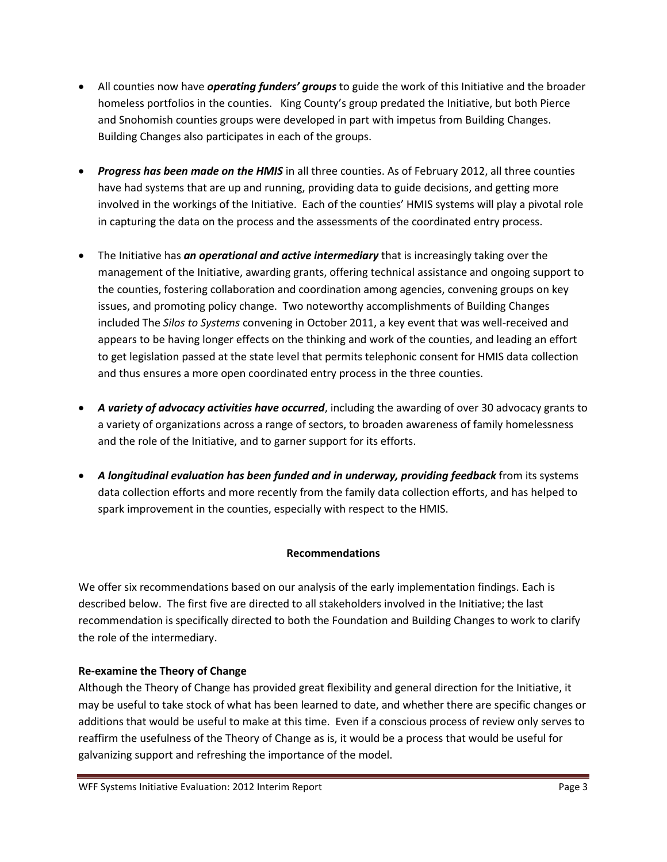- All counties now have *operating funders' groups* to guide the work of this Initiative and the broader homeless portfolios in the counties. King County's group predated the Initiative, but both Pierce and Snohomish counties groups were developed in part with impetus from Building Changes. Building Changes also participates in each of the groups.
- *Progress has been made on the HMIS* in all three counties. As of February 2012, all three counties have had systems that are up and running, providing data to guide decisions, and getting more involved in the workings of the Initiative. Each of the counties' HMIS systems will play a pivotal role in capturing the data on the process and the assessments of the coordinated entry process.
- The Initiative has *an operational and active intermediary* that is increasingly taking over the management of the Initiative, awarding grants, offering technical assistance and ongoing support to the counties, fostering collaboration and coordination among agencies, convening groups on key issues, and promoting policy change. Two noteworthy accomplishments of Building Changes included The *Silos to Systems* convening in October 2011, a key event that was well-received and appears to be having longer effects on the thinking and work of the counties, and leading an effort to get legislation passed at the state level that permits telephonic consent for HMIS data collection and thus ensures a more open coordinated entry process in the three counties.
- *A variety of advocacy activities have occurred*, including the awarding of over 30 advocacy grants to a variety of organizations across a range of sectors, to broaden awareness of family homelessness and the role of the Initiative, and to garner support for its efforts.
- *A longitudinal evaluation has been funded and in underway, providing feedback* from its systems data collection efforts and more recently from the family data collection efforts, and has helped to spark improvement in the counties, especially with respect to the HMIS.

## **Recommendations**

We offer six recommendations based on our analysis of the early implementation findings. Each is described below. The first five are directed to all stakeholders involved in the Initiative; the last recommendation is specifically directed to both the Foundation and Building Changes to work to clarify the role of the intermediary.

## **Re-examine the Theory of Change**

Although the Theory of Change has provided great flexibility and general direction for the Initiative, it may be useful to take stock of what has been learned to date, and whether there are specific changes or additions that would be useful to make at this time. Even if a conscious process of review only serves to reaffirm the usefulness of the Theory of Change as is, it would be a process that would be useful for galvanizing support and refreshing the importance of the model.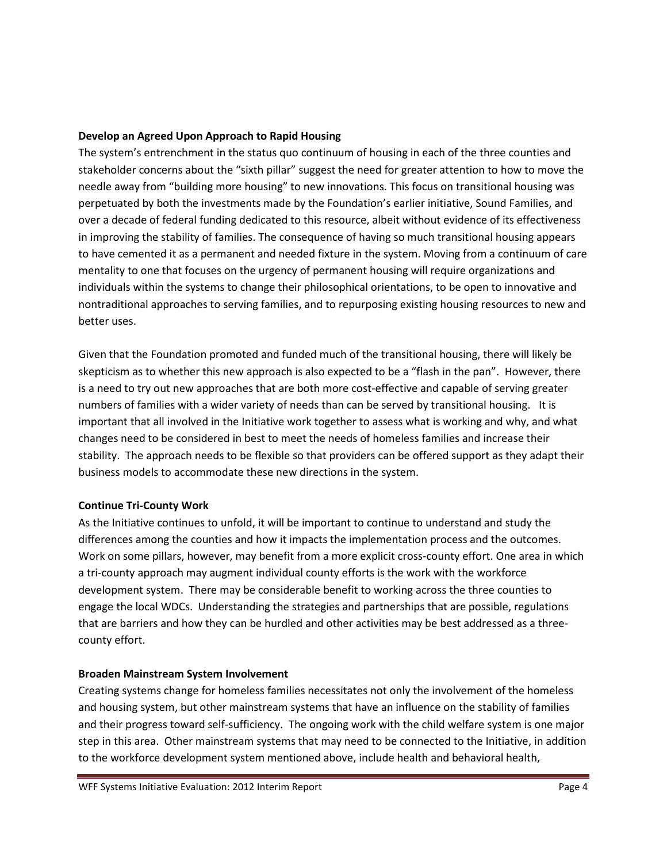### **Develop an Agreed Upon Approach to Rapid Housing**

The system's entrenchment in the status quo continuum of housing in each of the three counties and stakeholder concerns about the "sixth pillar" suggest the need for greater attention to how to move the needle away from "building more housing" to new innovations. This focus on transitional housing was perpetuated by both the investments made by the Foundation's earlier initiative, Sound Families, and over a decade of federal funding dedicated to this resource, albeit without evidence of its effectiveness in improving the stability of families. The consequence of having so much transitional housing appears to have cemented it as a permanent and needed fixture in the system. Moving from a continuum of care mentality to one that focuses on the urgency of permanent housing will require organizations and individuals within the systems to change their philosophical orientations, to be open to innovative and nontraditional approaches to serving families, and to repurposing existing housing resources to new and better uses.

Given that the Foundation promoted and funded much of the transitional housing, there will likely be skepticism as to whether this new approach is also expected to be a "flash in the pan". However, there is a need to try out new approaches that are both more cost-effective and capable of serving greater numbers of families with a wider variety of needs than can be served by transitional housing. It is important that all involved in the Initiative work together to assess what is working and why, and what changes need to be considered in best to meet the needs of homeless families and increase their stability. The approach needs to be flexible so that providers can be offered support as they adapt their business models to accommodate these new directions in the system.

#### **Continue Tri-County Work**

As the Initiative continues to unfold, it will be important to continue to understand and study the differences among the counties and how it impacts the implementation process and the outcomes. Work on some pillars, however, may benefit from a more explicit cross-county effort. One area in which a tri-county approach may augment individual county efforts is the work with the workforce development system. There may be considerable benefit to working across the three counties to engage the local WDCs. Understanding the strategies and partnerships that are possible, regulations that are barriers and how they can be hurdled and other activities may be best addressed as a threecounty effort.

### **Broaden Mainstream System Involvement**

Creating systems change for homeless families necessitates not only the involvement of the homeless and housing system, but other mainstream systems that have an influence on the stability of families and their progress toward self-sufficiency. The ongoing work with the child welfare system is one major step in this area. Other mainstream systems that may need to be connected to the Initiative, in addition to the workforce development system mentioned above, include health and behavioral health,